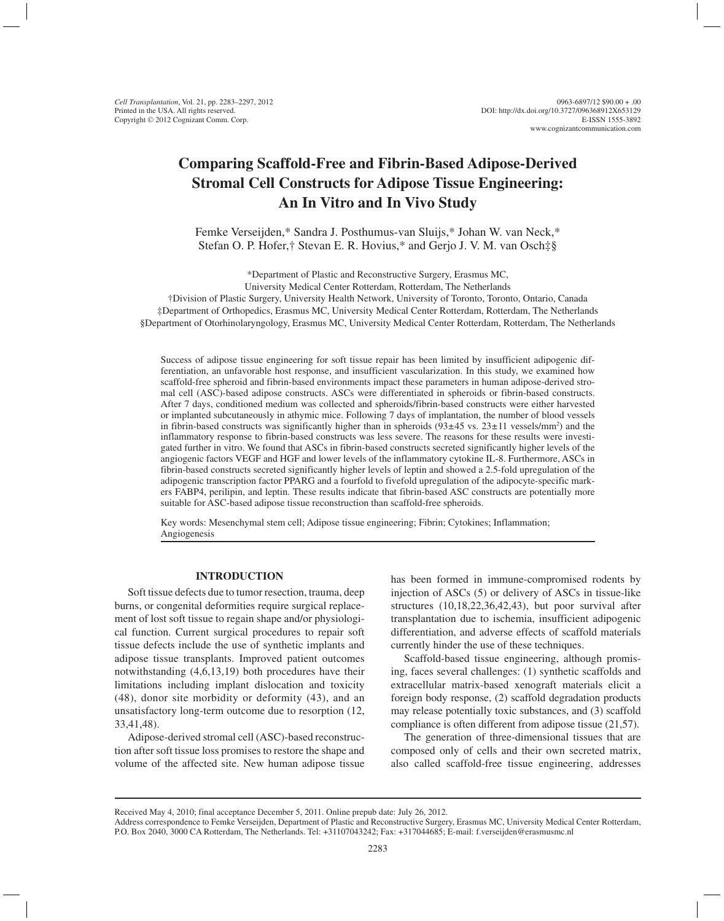# **Comparing Scaffold-Free and Fibrin-Based Adipose-Derived Stromal Cell Constructs for Adipose Tissue Engineering: An In Vitro and In Vivo Study**

Femke Verseijden,\* Sandra J. Posthumus-van Sluijs,\* Johan W. van Neck,\* Stefan O. P. Hofer,† Stevan E. R. Hovius,\* and Gerjo J. V. M. van Osch‡§

\*Department of Plastic and Reconstructive Surgery, Erasmus MC, University Medical Center Rotterdam, Rotterdam, The Netherlands †Division of Plastic Surgery, University Health Network, University of Toronto, Toronto, Ontario, Canada ‡Department of Orthopedics, Erasmus MC, University Medical Center Rotterdam, Rotterdam, The Netherlands §Department of Otorhinolaryngology, Erasmus MC, University Medical Center Rotterdam, Rotterdam, The Netherlands

Success of adipose tissue engineering for soft tissue repair has been limited by insufficient adipogenic differentiation, an unfavorable host response, and insufficient vascularization. In this study, we examined how scaffold-free spheroid and fibrin-based environments impact these parameters in human adipose-derived stromal cell (ASC)-based adipose constructs. ASCs were differentiated in spheroids or fibrin-based constructs. After 7 days, conditioned medium was collected and spheroids/fibrin-based constructs were either harvested or implanted subcutaneously in athymic mice. Following 7 days of implantation, the number of blood vessels in fibrin-based constructs was significantly higher than in spheroids  $(93\pm45 \text{ vs. } 23\pm11 \text{ vessels/mm}^2)$  and the inflammatory response to fibrin-based constructs was less severe. The reasons for these results were investigated further in vitro. We found that ASCs in fibrin-based constructs secreted significantly higher levels of the angiogenic factors VEGF and HGF and lower levels of the inflammatory cytokine IL-8. Furthermore, ASCs in fibrin-based constructs secreted significantly higher levels of leptin and showed a 2.5-fold upregulation of the adipogenic transcription factor PPARG and a fourfold to fivefold upregulation of the adipocyte-specific markers FABP4, perilipin, and leptin. These results indicate that fibrin-based ASC constructs are potentially more suitable for ASC-based adipose tissue reconstruction than scaffold-free spheroids.

Key words: Mesenchymal stem cell; Adipose tissue engineering; Fibrin; Cytokines; Inflammation; Angiogenesis

## **INTRODUCTION**

Soft tissue defects due to tumor resection, trauma, deep burns, or congenital deformities require surgical replacement of lost soft tissue to regain shape and/or physiological function. Current surgical procedures to repair soft tissue defects include the use of synthetic implants and adipose tissue transplants. Improved patient outcomes notwithstanding (4,6,13,19) both procedures have their limitations including implant dislocation and toxicity (48), donor site morbidity or deformity (43), and an unsatisfactory long-term outcome due to resorption (12, 33,41,48).

Adipose-derived stromal cell (ASC)-based reconstruction after soft tissue loss promises to restore the shape and volume of the affected site. New human adipose tissue

has been formed in immune-compromised rodents by injection of ASCs (5) or delivery of ASCs in tissue-like structures (10,18,22,36,42,43), but poor survival after transplantation due to ischemia, insufficient adipogenic differentiation, and adverse effects of scaffold materials currently hinder the use of these techniques.

Scaffold-based tissue engineering, although promising, faces several challenges: (1) synthetic scaffolds and extracellular matrix-based xenograft materials elicit a foreign body response, (2) scaffold degradation products may release potentially toxic substances, and (3) scaffold compliance is often different from adipose tissue (21,57).

The generation of three-dimensional tissues that are composed only of cells and their own secreted matrix, also called scaffold-free tissue engineering, addresses

Received May 4, 2010; final acceptance December 5, 2011. Online prepub date: July 26, 2012.

Address correspondence to Femke Verseijden, Department of Plastic and Reconstructive Surgery, Erasmus MC, University Medical Center Rotterdam, P.O. Box 2040, 3000 CA Rotterdam, The Netherlands. Tel: +31107043242; Fax: +317044685; E-mail: f.verseijden@erasmusmc.nl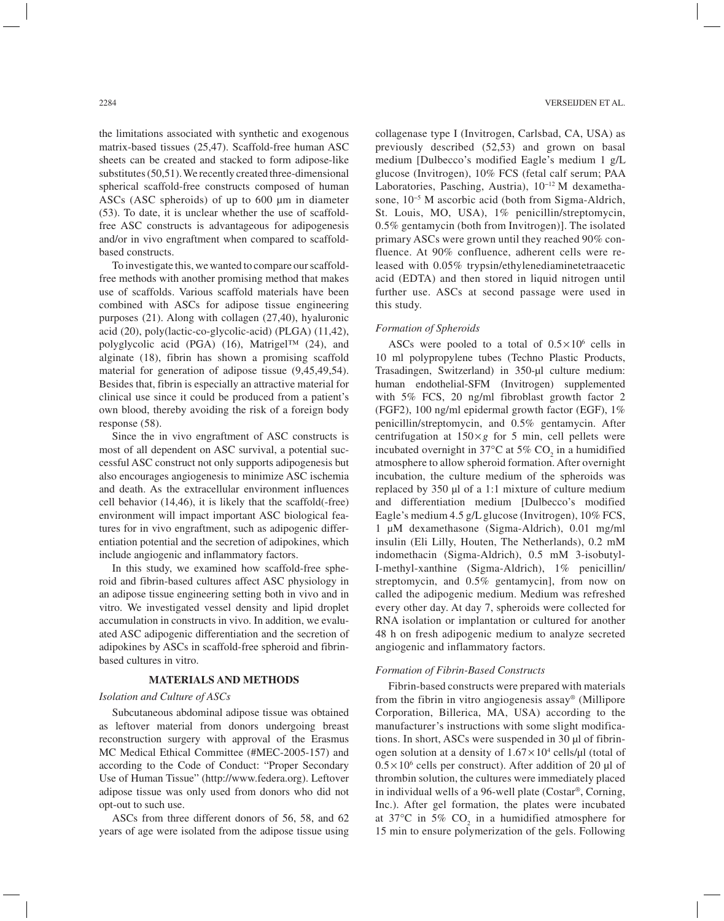the limitations associated with synthetic and exogenous matrix-based tissues (25,47). Scaffold-free human ASC sheets can be created and stacked to form adipose-like substitutes (50,51). We recently created three-dimensional spherical scaffold-free constructs composed of human ASCs (ASC spheroids) of up to 600 µm in diameter (53). To date, it is unclear whether the use of scaffoldfree ASC constructs is advantageous for adipogenesis and/or in vivo engraftment when compared to scaffoldbased constructs.

To investigate this, we wanted to compare our scaffoldfree methods with another promising method that makes use of scaffolds. Various scaffold materials have been combined with ASCs for adipose tissue engineering purposes (21). Along with collagen (27,40), hyaluronic acid (20), poly(lactic-co-glycolic-acid) (PLGA) (11,42), polyglycolic acid (PGA) (16), Matrigel™ (24), and alginate (18), fibrin has shown a promising scaffold material for generation of adipose tissue (9,45,49,54). Besides that, fibrin is especially an attractive material for clinical use since it could be produced from a patient's own blood, thereby avoiding the risk of a foreign body response (58).

Since the in vivo engraftment of ASC constructs is most of all dependent on ASC survival, a potential successful ASC construct not only supports adipogenesis but also encourages angiogenesis to minimize ASC ischemia and death. As the extracellular environment influences cell behavior (14,46), it is likely that the scaffold(-free) environment will impact important ASC biological features for in vivo engraftment, such as adipogenic differentiation potential and the secretion of adipokines, which include angiogenic and inflammatory factors.

In this study, we examined how scaffold-free spheroid and fibrin-based cultures affect ASC physiology in an adipose tissue engineering setting both in vivo and in vitro. We investigated vessel density and lipid droplet accumulation in constructs in vivo. In addition, we evaluated ASC adipogenic differentiation and the secretion of adipokines by ASCs in scaffold-free spheroid and fibrinbased cultures in vitro.

#### **MATERIALS AND METHODS**

## *Isolation and Culture of ASCs*

Subcutaneous abdominal adipose tissue was obtained as leftover material from donors undergoing breast reconstruction surgery with approval of the Erasmus MC Medical Ethical Committee (#MEC-2005-157) and according to the Code of Conduct: "Proper Secondary Use of Human Tissue" (http://www.federa.org). Leftover adipose tissue was only used from donors who did not opt-out to such use.

ASCs from three different donors of 56, 58, and 62 years of age were isolated from the adipose tissue using

collagenase type I (Invitrogen, Carlsbad, CA, USA) as previously described (52,53) and grown on basal medium [Dulbecco's modified Eagle's medium 1 g/L glucose (Invitrogen), 10% FCS (fetal calf serum; PAA Laboratories, Pasching, Austria), 10−12 M dexamethasone, 10−5 M ascorbic acid (both from Sigma-Aldrich, St. Louis, MO, USA), 1% penicillin/streptomycin, 0.5% gentamycin (both from Invitrogen)]. The isolated primary ASCs were grown until they reached 90% confluence. At 90% confluence, adherent cells were released with 0.05% trypsin/ethylenediaminetetraacetic acid (EDTA) and then stored in liquid nitrogen until further use. ASCs at second passage were used in this study.

## *Formation of Spheroids*

ASCs were pooled to a total of  $0.5 \times 10^6$  cells in 10 ml polypropylene tubes (Techno Plastic Products, Trasadingen, Switzerland) in 350-µl culture medium: human endothelial-SFM (Invitrogen) supplemented with 5% FCS, 20 ng/ml fibroblast growth factor 2 (FGF2), 100 ng/ml epidermal growth factor (EGF), 1% penicillin/streptomycin, and 0.5% gentamycin. After centrifugation at  $150 \times g$  for 5 min, cell pellets were incubated overnight in 37 $\mathrm{^{\circ}C}$  at 5%  $\mathrm{CO}_{2}$  in a humidified atmosphere to allow spheroid formation. After overnight incubation, the culture medium of the spheroids was replaced by 350 µl of a 1:1 mixture of culture medium and differentiation medium [Dulbecco's modified Eagle's medium 4.5 g/L glucose (Invitrogen), 10% FCS, 1 µM dexamethasone (Sigma-Aldrich), 0.01 mg/ml insulin (Eli Lilly, Houten, The Netherlands), 0.2 mM indomethacin (Sigma-Aldrich), 0.5 mM 3-isobutyl-I-methyl-xanthine (Sigma-Aldrich), 1% penicillin/ streptomycin, and 0.5% gentamycin], from now on called the adipogenic medium. Medium was refreshed every other day. At day 7, spheroids were collected for RNA isolation or implantation or cultured for another 48 h on fresh adipogenic medium to analyze secreted angiogenic and inflammatory factors.

## *Formation of Fibrin-Based Constructs*

Fibrin-based constructs were prepared with materials from the fibrin in vitro angiogenesis assay® (Millipore Corporation, Billerica, MA, USA) according to the manufacturer's instructions with some slight modifications. In short, ASCs were suspended in 30 µl of fibrinogen solution at a density of  $1.67 \times 10^4$  cells/ $\mu$ l (total of  $0.5 \times 10^6$  cells per construct). After addition of 20 µl of thrombin solution, the cultures were immediately placed in individual wells of a 96-well plate (Costar®, Corning, Inc.). After gel formation, the plates were incubated at 37°C in 5%  $CO<sub>2</sub>$  in a humidified atmosphere for 15 min to ensure polymerization of the gels. Following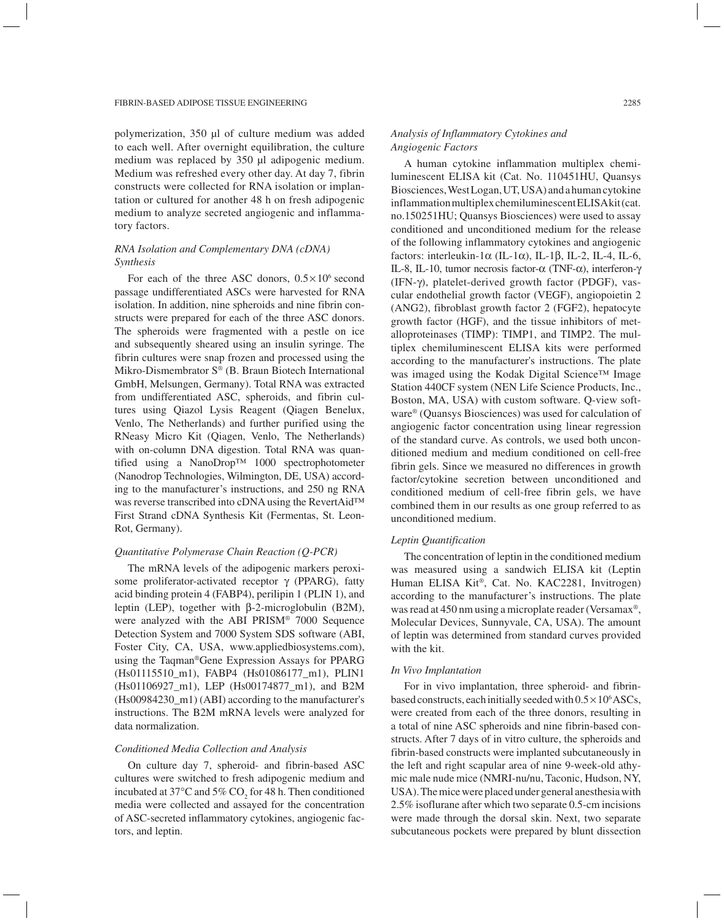polymerization, 350 µl of culture medium was added to each well. After overnight equilibration, the culture medium was replaced by 350 µl adipogenic medium. Medium was refreshed every other day. At day 7, fibrin constructs were collected for RNA isolation or implantation or cultured for another 48 h on fresh adipogenic medium to analyze secreted angiogenic and inflammatory factors.

# *RNA Isolation and Complementary DNA (cDNA) Synthesis*

For each of the three ASC donors,  $0.5 \times 10^6$  second passage undifferentiated ASCs were harvested for RNA isolation. In addition, nine spheroids and nine fibrin constructs were prepared for each of the three ASC donors. The spheroids were fragmented with a pestle on ice and subsequently sheared using an insulin syringe. The fibrin cultures were snap frozen and processed using the Mikro-Dismembrator S® (B. Braun Biotech International GmbH, Melsungen, Germany). Total RNA was extracted from undifferentiated ASC, spheroids, and fibrin cultures using Qiazol Lysis Reagent (Qiagen Benelux, Venlo, The Netherlands) and further purified using the RNeasy Micro Kit (Qiagen, Venlo, The Netherlands) with on-column DNA digestion. Total RNA was quantified using a NanoDrop™ 1000 spectrophotometer (Nanodrop Technologies, Wilmington, DE, USA) according to the manufacturer's instructions, and 250 ng RNA was reverse transcribed into cDNA using the RevertAid™ First Strand cDNA Synthesis Kit (Fermentas, St. Leon-Rot, Germany).

## *Quantitative Polymerase Chain Reaction (Q-PCR)*

The mRNA levels of the adipogenic markers peroxisome proliferator-activated receptor  $\gamma$  (PPARG), fatty acid binding protein 4 (FABP4), perilipin 1 (PLIN 1), and leptin (LEP), together with  $\beta$ -2-microglobulin (B2M), were analyzed with the ABI PRISM® 7000 Sequence Detection System and 7000 System SDS software (ABI, Foster City, CA, USA, www.appliedbiosystems.com), using the Taqman®Gene Expression Assays for PPARG (Hs01115510\_m1), FABP4 (Hs01086177\_m1), PLIN1 (Hs01106927\_m1), LEP (Hs00174877\_m1), and B2M (Hs00984230\_m1) (ABI) according to the manufacturer's instructions. The B2M mRNA levels were analyzed for data normalization.

#### *Conditioned Media Collection and Analysis*

On culture day 7, spheroid- and fibrin-based ASC cultures were switched to fresh adipogenic medium and incubated at 37 $\mathrm{^{\circ}C}$  and 5%  $\mathrm{CO}_2$  for 48 h. Then conditioned media were collected and assayed for the concentration of ASC-secreted inflammatory cytokines, angiogenic factors, and leptin.

# *Analysis of Inflammatory Cytokines and Angiogenic Factors*

A human cytokine inflammation multiplex chemiluminescent ELISA kit (Cat. No. 110451HU, Quansys Biosciences, West Logan, UT, USA) and a human cytokine inflammation multiplex chemiluminescent ELISA kit (cat. no.150251HU; Quansys Biosciences) were used to assay conditioned and unconditioned medium for the release of the following inflammatory cytokines and angiogenic factors: interleukin-1 $\alpha$  (IL-1 $\alpha$ ), IL-1 $\beta$ , IL-2, IL-4, IL-6, IL-8, IL-10, tumor necrosis factor- $\alpha$  (TNF- $\alpha$ ), interferon- $\gamma$ (IFN-g), platelet-derived growth factor (PDGF), vascular endothelial growth factor (VEGF), angiopoietin 2 (ANG2), fibroblast growth factor 2 (FGF2), hepatocyte growth factor (HGF), and the tissue inhibitors of metalloproteinases (TIMP): TIMP1, and TIMP2. The multiplex chemiluminescent ELISA kits were performed according to the manufacturer's instructions. The plate was imaged using the Kodak Digital Science™ Image Station 440CF system (NEN Life Science Products, Inc., Boston, MA, USA) with custom software. Q-view software® (Quansys Biosciences) was used for calculation of angiogenic factor concentration using linear regression of the standard curve. As controls, we used both unconditioned medium and medium conditioned on cell-free fibrin gels. Since we measured no differences in growth factor/cytokine secretion between unconditioned and conditioned medium of cell-free fibrin gels, we have combined them in our results as one group referred to as unconditioned medium.

### *Leptin Quantification*

The concentration of leptin in the conditioned medium was measured using a sandwich ELISA kit (Leptin Human ELISA Kit*®*, Cat. No. KAC2281, Invitrogen) according to the manufacturer's instructions. The plate was read at 450 nm using a microplate reader (Versamax*®*, Molecular Devices, Sunnyvale, CA, USA). The amount of leptin was determined from standard curves provided with the kit.

# *In Vivo Implantation*

For in vivo implantation, three spheroid- and fibrinbased constructs, each initially seeded with  $0.5 \times 10^6$  ASCs, were created from each of the three donors, resulting in a total of nine ASC spheroids and nine fibrin-based constructs. After 7 days of in vitro culture, the spheroids and fibrin-based constructs were implanted subcutaneously in the left and right scapular area of nine 9-week-old athymic male nude mice (NMRI-nu/nu, Taconic, Hudson, NY, USA). The mice were placed under general anesthesia with 2.5% isoflurane after which two separate 0.5-cm incisions were made through the dorsal skin. Next, two separate subcutaneous pockets were prepared by blunt dissection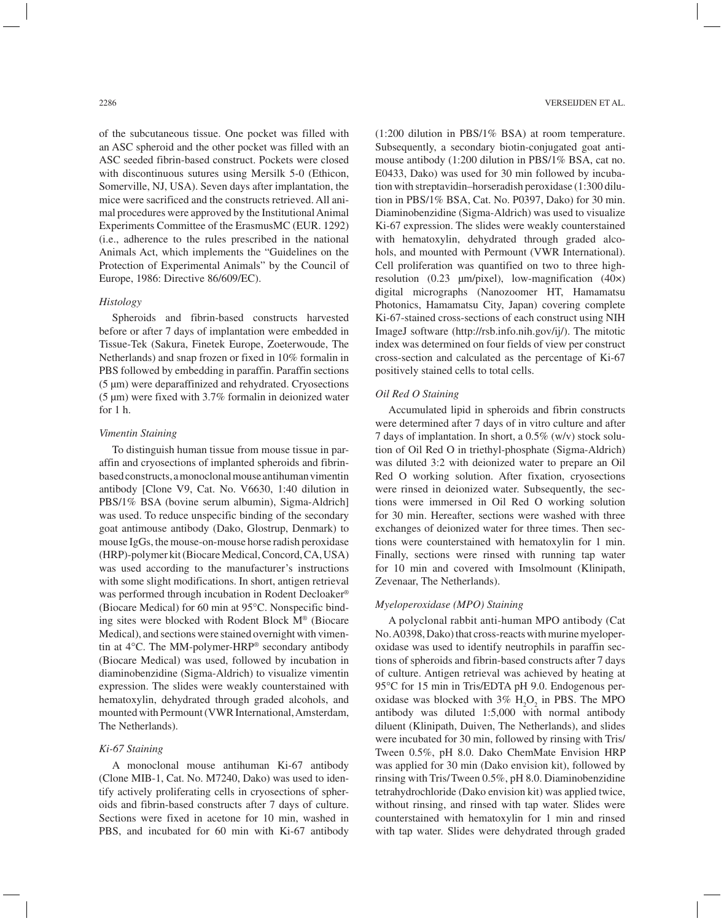of the subcutaneous tissue. One pocket was filled with an ASC spheroid and the other pocket was filled with an ASC seeded fibrin-based construct. Pockets were closed with discontinuous sutures using Mersilk 5-0 (Ethicon, Somerville, NJ, USA). Seven days after implantation, the mice were sacrificed and the constructs retrieved. All animal procedures were approved by the Institutional Animal Experiments Committee of the ErasmusMC (EUR. 1292) (i.e., adherence to the rules prescribed in the national Animals Act, which implements the "Guidelines on the Protection of Experimental Animals" by the Council of Europe, 1986: Directive 86/609/EC).

# *Histology*

Spheroids and fibrin-based constructs harvested before or after 7 days of implantation were embedded in Tissue-Tek (Sakura, Finetek Europe, Zoeterwoude, The Netherlands) and snap frozen or fixed in 10% formalin in PBS followed by embedding in paraffin. Paraffin sections (5 µm) were deparaffinized and rehydrated. Cryosections  $(5 \mu m)$  were fixed with 3.7% formalin in deionized water for 1 h.

#### *Vimentin Staining*

To distinguish human tissue from mouse tissue in paraffin and cryosections of implanted spheroids and fibrinbased constructs, a monoclonal mouse antihuman vimentin antibody [Clone V9, Cat. No. V6630, 1:40 dilution in PBS/1% BSA (bovine serum albumin), Sigma-Aldrich] was used. To reduce unspecific binding of the secondary goat antimouse antibody (Dako, Glostrup, Denmark) to mouse IgGs, the mouse-on-mouse horse radish peroxidase (HRP)-polymer kit (Biocare Medical, Concord, CA, USA) was used according to the manufacturer's instructions with some slight modifications. In short, antigen retrieval was performed through incubation in Rodent Decloaker® (Biocare Medical) for 60 min at 95°C. Nonspecific binding sites were blocked with Rodent Block M® (Biocare Medical), and sections were stained overnight with vimentin at 4°C. The MM-polymer-HRP® secondary antibody (Biocare Medical) was used, followed by incubation in diaminobenzidine (Sigma-Aldrich) to visualize vimentin expression. The slides were weakly counterstained with hematoxylin, dehydrated through graded alcohols, and mounted with Permount (VWR International, Amsterdam, The Netherlands).

# *Ki-67 Staining*

A monoclonal mouse antihuman Ki-67 antibody (Clone MIB-1, Cat. No. M7240, Dako) was used to identify actively proliferating cells in cryosections of spheroids and fibrin-based constructs after 7 days of culture. Sections were fixed in acetone for 10 min, washed in PBS, and incubated for 60 min with Ki-67 antibody

(1:200 dilution in PBS/1% BSA) at room temperature. Subsequently, a secondary biotin-conjugated goat antimouse antibody (1:200 dilution in PBS/1% BSA, cat no. E0433, Dako) was used for 30 min followed by incubation with streptavidin–horseradish peroxidase (1:300 dilution in PBS/1% BSA, Cat. No. P0397, Dako) for 30 min. Diaminobenzidine (Sigma-Aldrich) was used to visualize Ki-67 expression. The slides were weakly counterstained with hematoxylin, dehydrated through graded alcohols, and mounted with Permount (VWR International). Cell proliferation was quantified on two to three highresolution (0.23  $\mu$ m/pixel), low-magnification (40×) digital micrographs (Nanozoomer HT, Hamamatsu Photonics, Hamamatsu City, Japan) covering complete Ki-67-stained cross-sections of each construct using NIH ImageJ software (http://rsb.info.nih.gov/ij/). The mitotic index was determined on four fields of view per construct cross-section and calculated as the percentage of Ki-67 positively stained cells to total cells.

## *Oil Red O Staining*

Accumulated lipid in spheroids and fibrin constructs were determined after 7 days of in vitro culture and after 7 days of implantation. In short, a 0.5% (w/v) stock solution of Oil Red O in triethyl-phosphate (Sigma-Aldrich) was diluted 3:2 with deionized water to prepare an Oil Red O working solution. After fixation, cryosections were rinsed in deionized water. Subsequently, the sections were immersed in Oil Red O working solution for 30 min. Hereafter, sections were washed with three exchanges of deionized water for three times. Then sections were counterstained with hematoxylin for 1 min. Finally, sections were rinsed with running tap water for 10 min and covered with Imsolmount (Klinipath, Zevenaar, The Netherlands).

#### *Myeloperoxidase (MPO) Staining*

A polyclonal rabbit anti-human MPO antibody (Cat No. A0398, Dako) that cross-reacts with murine myeloperoxidase was used to identify neutrophils in paraffin sections of spheroids and fibrin-based constructs after 7 days of culture. Antigen retrieval was achieved by heating at 95°C for 15 min in Tris/EDTA pH 9.0. Endogenous peroxidase was blocked with  $3\%$  H<sub>2</sub>O<sub>2</sub> in PBS. The MPO antibody was diluted 1:5,000 with normal antibody diluent (Klinipath, Duiven, The Netherlands), and slides were incubated for 30 min, followed by rinsing with Tris/ Tween 0.5%, pH 8.0. Dako ChemMate Envision HRP was applied for 30 min (Dako envision kit), followed by rinsing with Tris/Tween 0.5%, pH 8.0. Diaminobenzidine tetrahydrochloride (Dako envision kit) was applied twice, without rinsing, and rinsed with tap water. Slides were counterstained with hematoxylin for 1 min and rinsed with tap water. Slides were dehydrated through graded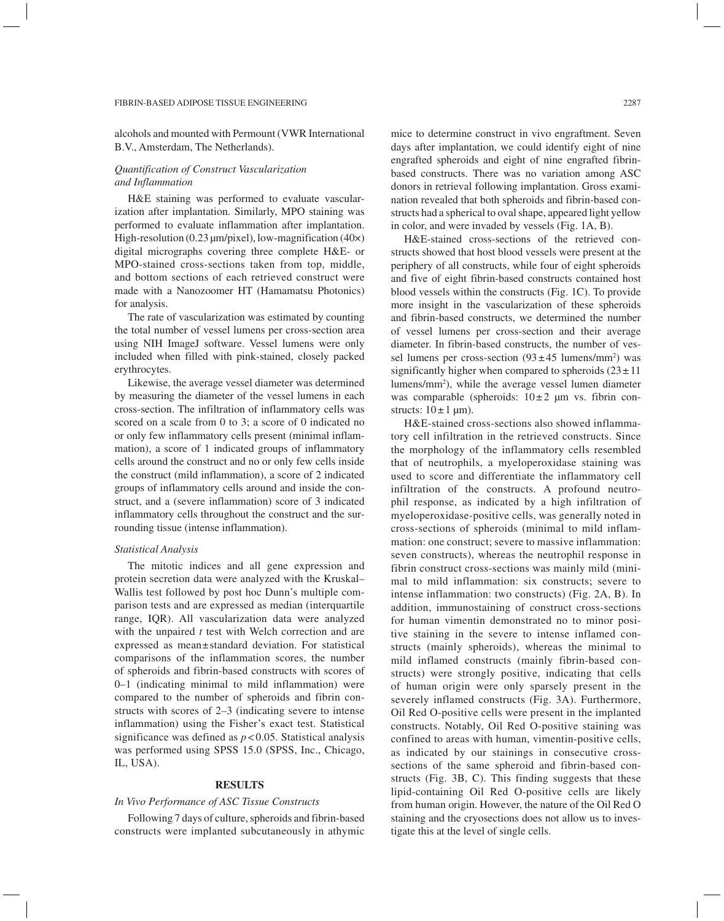alcohols and mounted with Permount (VWR International B.V., Amsterdam, The Netherlands).

# *Quantification of Construct Vascularization and Inflammation*

H&E staining was performed to evaluate vascularization after implantation. Similarly, MPO staining was performed to evaluate inflammation after implantation. High-resolution (0.23 µm/pixel), low-magnification (40×) digital micrographs covering three complete H&E- or MPO-stained cross-sections taken from top, middle, and bottom sections of each retrieved construct were made with a Nanozoomer HT (Hamamatsu Photonics) for analysis.

The rate of vascularization was estimated by counting the total number of vessel lumens per cross-section area using NIH ImageJ software. Vessel lumens were only included when filled with pink-stained, closely packed erythrocytes.

Likewise, the average vessel diameter was determined by measuring the diameter of the vessel lumens in each cross-section. The infiltration of inflammatory cells was scored on a scale from 0 to 3; a score of 0 indicated no or only few inflammatory cells present (minimal inflammation), a score of 1 indicated groups of inflammatory cells around the construct and no or only few cells inside the construct (mild inflammation), a score of 2 indicated groups of inflammatory cells around and inside the construct, and a (severe inflammation) score of 3 indicated inflammatory cells throughout the construct and the surrounding tissue (intense inflammation).

## *Statistical Analysis*

The mitotic indices and all gene expression and protein secretion data were analyzed with the Kruskal– Wallis test followed by post hoc Dunn's multiple comparison tests and are expressed as median (interquartile range, IQR). All vascularization data were analyzed with the unpaired *t* test with Welch correction and are expressed as mean±standard deviation. For statistical comparisons of the inflammation scores, the number of spheroids and fibrin-based constructs with scores of 0–1 (indicating minimal to mild inflammation) were compared to the number of spheroids and fibrin constructs with scores of 2–3 (indicating severe to intense inflammation) using the Fisher's exact test. Statistical significance was defined as *p* < 0.05. Statistical analysis was performed using SPSS 15.0 (SPSS, Inc., Chicago, IL, USA).

# **RESULTS**

# *In Vivo Performance of ASC Tissue Constructs*

Following 7 days of culture, spheroids and fibrin-based constructs were implanted subcutaneously in athymic mice to determine construct in vivo engraftment. Seven days after implantation, we could identify eight of nine engrafted spheroids and eight of nine engrafted fibrinbased constructs. There was no variation among ASC donors in retrieval following implantation. Gross examination revealed that both spheroids and fibrin-based constructs had a spherical to oval shape, appeared light yellow in color, and were invaded by vessels (Fig. 1A, B).

H&E-stained cross-sections of the retrieved constructs showed that host blood vessels were present at the periphery of all constructs, while four of eight spheroids and five of eight fibrin-based constructs contained host blood vessels within the constructs (Fig. 1C). To provide more insight in the vascularization of these spheroids and fibrin-based constructs, we determined the number of vessel lumens per cross-section and their average diameter. In fibrin-based constructs, the number of vessel lumens per cross-section  $(93 \pm 45 \text{ lumens/mm}^2)$  was significantly higher when compared to spheroids  $(23 \pm 11)$ lumens/mm2 ), while the average vessel lumen diameter was comparable (spheroids:  $10\pm 2$  µm vs. fibrin constructs:  $10 \pm 1 \text{ µm}$ ).

H&E-stained cross-sections also showed inflammatory cell infiltration in the retrieved constructs. Since the morphology of the inflammatory cells resembled that of neutrophils, a myeloperoxidase staining was used to score and differentiate the inflammatory cell infiltration of the constructs. A profound neutrophil response, as indicated by a high infiltration of myeloperoxidase-positive cells, was generally noted in cross-sections of spheroids (minimal to mild inflammation: one construct; severe to massive inflammation: seven constructs), whereas the neutrophil response in fibrin construct cross-sections was mainly mild (minimal to mild inflammation: six constructs; severe to intense inflammation: two constructs) (Fig. 2A, B). In addition, immunostaining of construct cross-sections for human vimentin demonstrated no to minor positive staining in the severe to intense inflamed constructs (mainly spheroids), whereas the minimal to mild inflamed constructs (mainly fibrin-based constructs) were strongly positive, indicating that cells of human origin were only sparsely present in the severely inflamed constructs (Fig. 3A). Furthermore, Oil Red O-positive cells were present in the implanted constructs. Notably, Oil Red O-positive staining was confined to areas with human, vimentin-positive cells, as indicated by our stainings in consecutive crosssections of the same spheroid and fibrin-based constructs (Fig. 3B, C). This finding suggests that these lipid-containing Oil Red O-positive cells are likely from human origin. However, the nature of the Oil Red O staining and the cryosections does not allow us to investigate this at the level of single cells.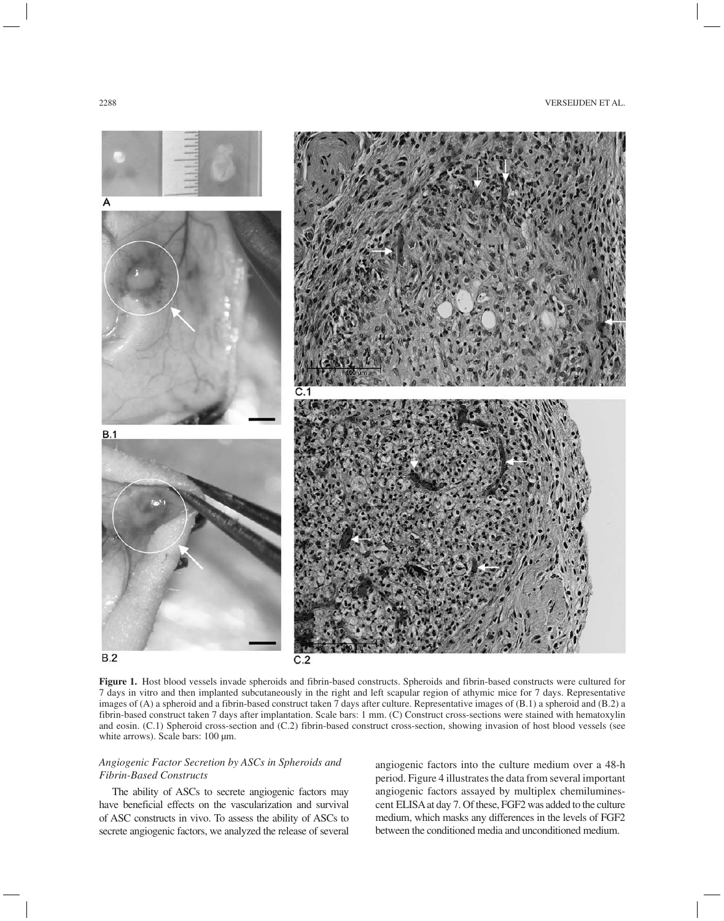

**Figure 1.** Host blood vessels invade spheroids and fibrin-based constructs. Spheroids and fibrin-based constructs were cultured for 7 days in vitro and then implanted subcutaneously in the right and left scapular region of athymic mice for 7 days. Representative images of (A) a spheroid and a fibrin-based construct taken 7 days after culture. Representative images of (B.1) a spheroid and (B.2) a fibrin-based construct taken 7 days after implantation. Scale bars: 1 mm. (C) Construct cross-sections were stained with hematoxylin and eosin. (C.1) Spheroid cross-section and (C.2) fibrin-based construct cross-section, showing invasion of host blood vessels (see white arrows). Scale bars: 100 µm.

# *Angiogenic Factor Secretion by ASCs in Spheroids and Fibrin-Based Constructs*

The ability of ASCs to secrete angiogenic factors may have beneficial effects on the vascularization and survival of ASC constructs in vivo. To assess the ability of ASCs to secrete angiogenic factors, we analyzed the release of several

angiogenic factors into the culture medium over a 48-h period. Figure 4 illustrates the data from several important angiogenic factors assayed by multiplex chemiluminescent ELISA at day 7. Of these, FGF2 was added to the culture medium, which masks any differences in the levels of FGF2 between the conditioned media and unconditioned medium.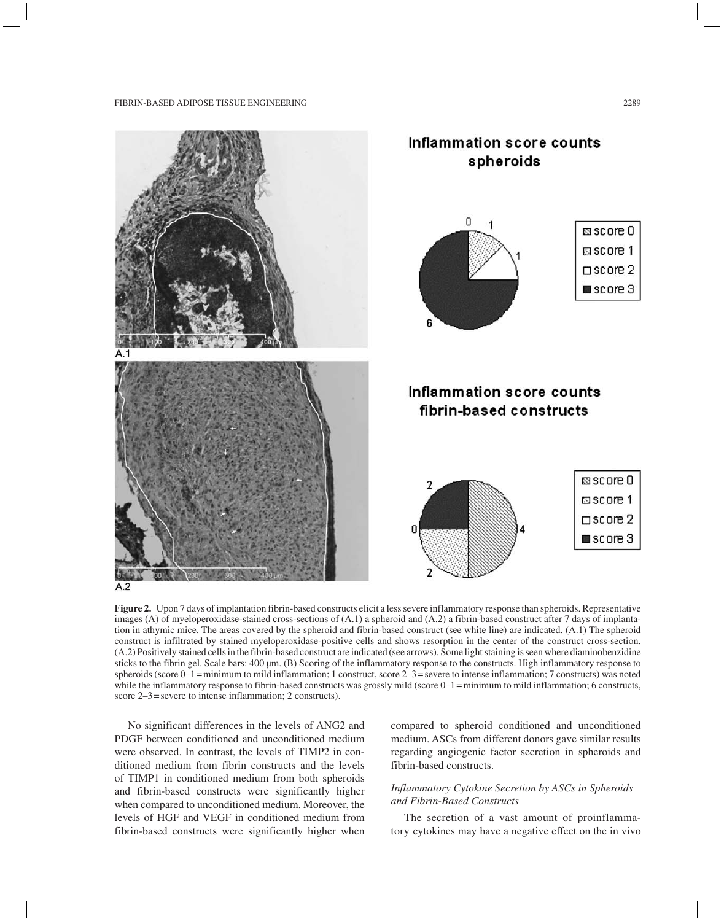

**Figure 2.** Upon 7 days of implantation fibrin-based constructs elicit a less severe inflammatory response than spheroids. Representative images (A) of myeloperoxidase-stained cross-sections of (A.1) a spheroid and (A.2) a fibrin-based construct after 7 days of implantation in athymic mice. The areas covered by the spheroid and fibrin-based construct (see white line) are indicated. (A.1) The spheroid construct is infiltrated by stained myeloperoxidase-positive cells and shows resorption in the center of the construct cross-section. (A.2) Positively stained cells in the fibrin-based construct are indicated (see arrows). Some light staining is seen where diaminobenzidine sticks to the fibrin gel. Scale bars: 400  $\mu$ m. (B) Scoring of the inflammatory response to the constructs. High inflammatory response to spheroids (score  $0-1$  = minimum to mild inflammation; 1 construct, score  $2-3$  = severe to intense inflammation; 7 constructs) was noted while the inflammatory response to fibrin-based constructs was grossly mild (score 0–1=minimum to mild inflammation; 6 constructs, score 2–3=severe to intense inflammation; 2 constructs).

No significant differences in the levels of ANG2 and PDGF between conditioned and unconditioned medium were observed. In contrast, the levels of TIMP2 in conditioned medium from fibrin constructs and the levels of TIMP1 in conditioned medium from both spheroids and fibrin-based constructs were significantly higher when compared to unconditioned medium. Moreover, the levels of HGF and VEGF in conditioned medium from fibrin-based constructs were significantly higher when

compared to spheroid conditioned and unconditioned medium. ASCs from different donors gave similar results regarding angiogenic factor secretion in spheroids and fibrin-based constructs.

# *Inflammatory Cytokine Secretion by ASCs in Spheroids and Fibrin-Based Constructs*

The secretion of a vast amount of proinflammatory cytokines may have a negative effect on the in vivo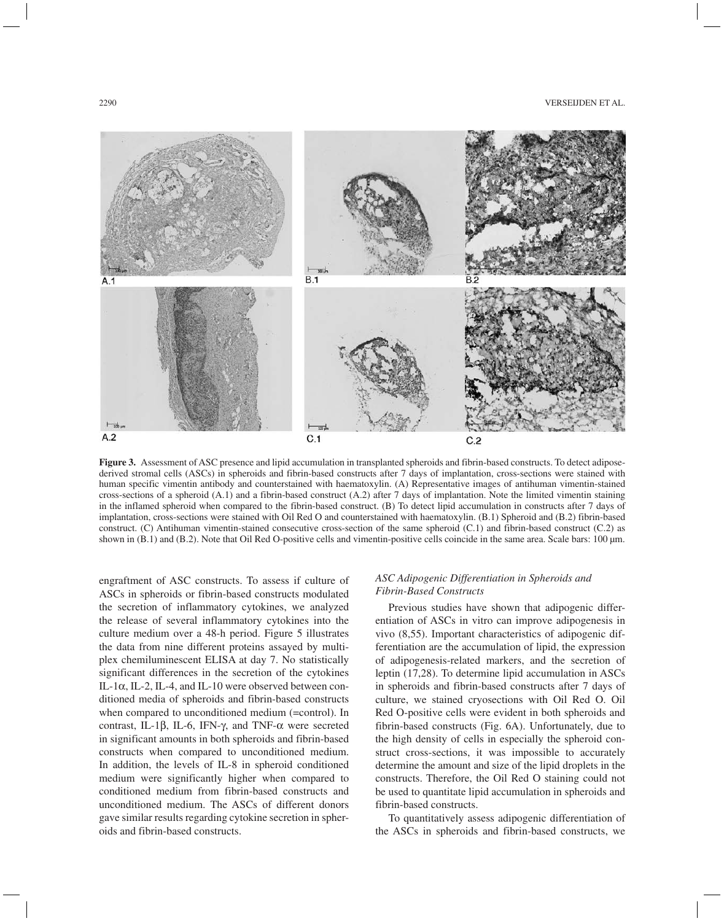

**Figure 3.** Assessment of ASC presence and lipid accumulation in transplanted spheroids and fibrin-based constructs. To detect adiposederived stromal cells (ASCs) in spheroids and fibrin-based constructs after 7 days of implantation, cross-sections were stained with human specific vimentin antibody and counterstained with haematoxylin. (A) Representative images of antihuman vimentin-stained cross-sections of a spheroid (A.1) and a fibrin-based construct (A.2) after 7 days of implantation. Note the limited vimentin staining in the inflamed spheroid when compared to the fibrin-based construct. (B) To detect lipid accumulation in constructs after 7 days of implantation, cross-sections were stained with Oil Red O and counterstained with haematoxylin. (B.1) Spheroid and (B.2) fibrin-based construct. (C) Antihuman vimentin-stained consecutive cross-section of the same spheroid (C.1) and fibrin-based construct (C.2) as shown in (B.1) and (B.2). Note that Oil Red O-positive cells and vimentin-positive cells coincide in the same area. Scale bars: 100 µm.

engraftment of ASC constructs. To assess if culture of ASCs in spheroids or fibrin-based constructs modulated the secretion of inflammatory cytokines, we analyzed the release of several inflammatory cytokines into the culture medium over a 48-h period. Figure 5 illustrates the data from nine different proteins assayed by multiplex chemiluminescent ELISA at day 7. No statistically significant differences in the secretion of the cytokines IL-1 $\alpha$ , IL-2, IL-4, and IL-10 were observed between conditioned media of spheroids and fibrin-based constructs when compared to unconditioned medium (=control). In contrast, IL-1 $\beta$ , IL-6, IFN- $\gamma$ , and TNF- $\alpha$  were secreted in significant amounts in both spheroids and fibrin-based constructs when compared to unconditioned medium. In addition, the levels of IL-8 in spheroid conditioned medium were significantly higher when compared to conditioned medium from fibrin-based constructs and unconditioned medium. The ASCs of different donors gave similar results regarding cytokine secretion in spheroids and fibrin-based constructs.

# *ASC Adipogenic Differentiation in Spheroids and Fibrin-Based Constructs*

Previous studies have shown that adipogenic differentiation of ASCs in vitro can improve adipogenesis in vivo (8,55). Important characteristics of adipogenic differentiation are the accumulation of lipid, the expression of adipogenesis-related markers, and the secretion of leptin (17,28). To determine lipid accumulation in ASCs in spheroids and fibrin-based constructs after 7 days of culture, we stained cryosections with Oil Red O. Oil Red O-positive cells were evident in both spheroids and fibrin-based constructs (Fig. 6A). Unfortunately, due to the high density of cells in especially the spheroid construct cross-sections, it was impossible to accurately determine the amount and size of the lipid droplets in the constructs. Therefore, the Oil Red O staining could not be used to quantitate lipid accumulation in spheroids and fibrin-based constructs.

To quantitatively assess adipogenic differentiation of the ASCs in spheroids and fibrin-based constructs, we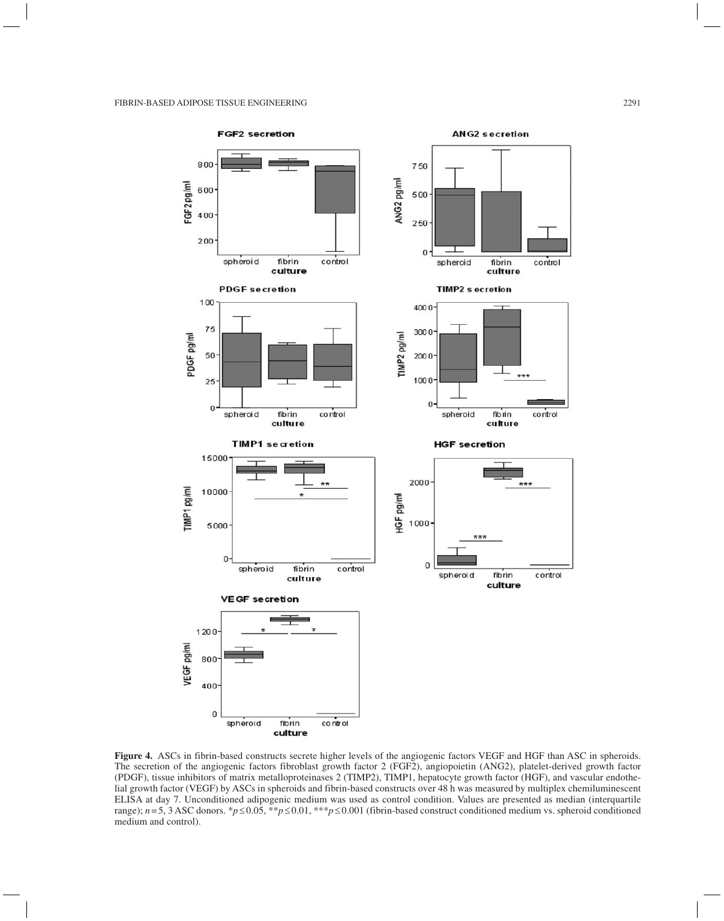

**Figure 4.** ASCs in fibrin-based constructs secrete higher levels of the angiogenic factors VEGF and HGF than ASC in spheroids. The secretion of the angiogenic factors fibroblast growth factor 2 (FGF2), angiopoietin (ANG2), platelet-derived growth factor (PDGF), tissue inhibitors of matrix metalloproteinases 2 (TIMP2), TIMP1, hepatocyte growth factor (HGF), and vascular endothelial growth factor (VEGF) by ASCs in spheroids and fibrin-based constructs over 48 h was measured by multiplex chemiluminescent ELISA at day 7. Unconditioned adipogenic medium was used as control condition. Values are presented as median (interquartile range); *n*=5, 3 ASC donors. \**p*≤0.05, \*\**p*≤0.01, \*\*\**p*≤0.001 (fibrin-based construct conditioned medium vs. spheroid conditioned medium and control).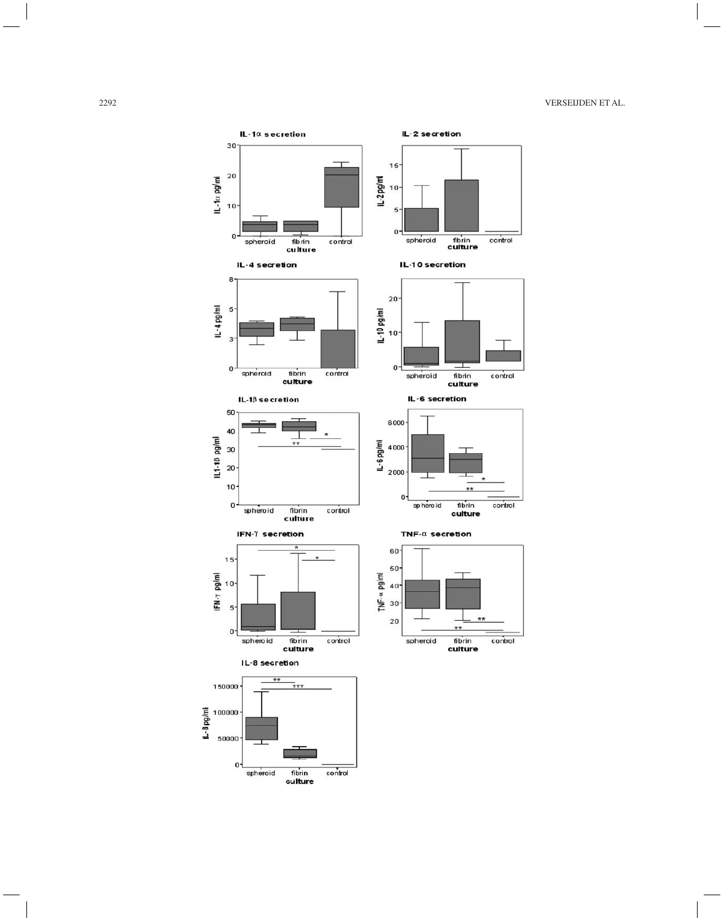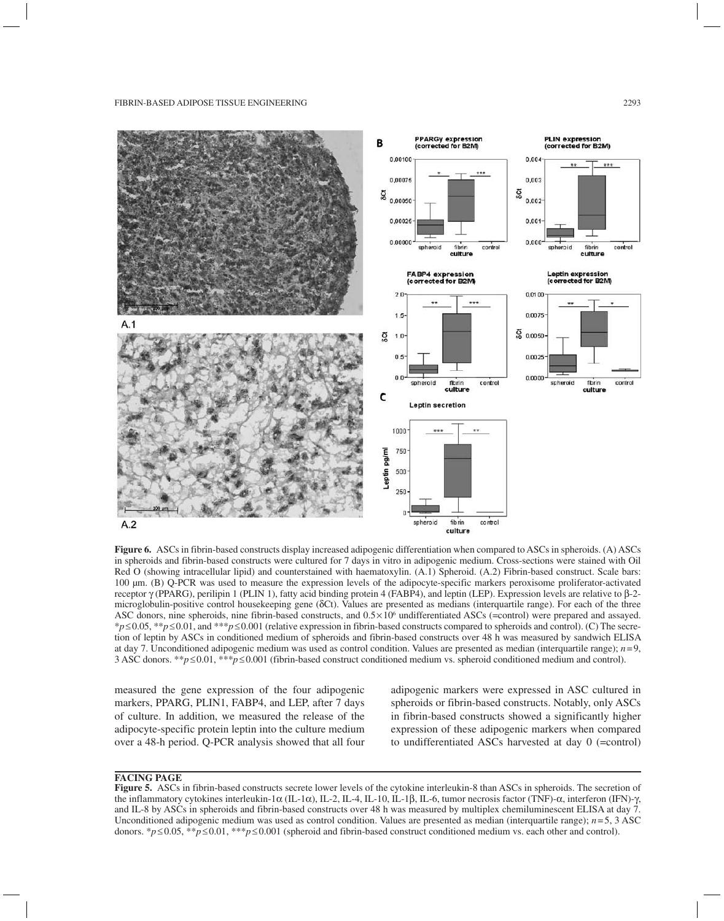

**Figure 6.** ASCs in fibrin-based constructs display increased adipogenic differentiation when compared to ASCs in spheroids. (A) ASCs in spheroids and fibrin-based constructs were cultured for 7 days in vitro in adipogenic medium. Cross-sections were stained with Oil Red O (showing intracellular lipid) and counterstained with haematoxylin. (A.1) Spheroid. (A.2) Fibrin-based construct. Scale bars: 100 µm. (B) Q-PCR was used to measure the expression levels of the adipocyte-specific markers peroxisome proliferator-activated receptor  $\gamma$  (PPARG), perilipin 1 (PLIN 1), fatty acid binding protein 4 (FABP4), and leptin (LEP). Expression levels are relative to  $\beta$ -2microglobulin-positive control housekeeping gene  $(\delta Ct)$ . Values are presented as medians (interquartile range). For each of the three ASC donors, nine spheroids, nine fibrin-based constructs, and  $0.5 \times 10^6$  undifferentiated ASCs (=control) were prepared and assayed. \**p*≤0.05, \*\**p*≤0.01, and \*\*\**p*≤0.001 (relative expression in fibrin-based constructs compared to spheroids and control). (C) The secretion of leptin by ASCs in conditioned medium of spheroids and fibrin-based constructs over 48 h was measured by sandwich ELISA at day 7. Unconditioned adipogenic medium was used as control condition. Values are presented as median (interquartile range); *n*=9, 3 ASC donors. \*\**p*≤0.01, \*\*\**p*≤0.001 (fibrin-based construct conditioned medium vs. spheroid conditioned medium and control).

measured the gene expression of the four adipogenic markers, PPARG, PLIN1, FABP4, and LEP, after 7 days of culture. In addition, we measured the release of the adipocyte-specific protein leptin into the culture medium over a 48-h period. Q-PCR analysis showed that all four

adipogenic markers were expressed in ASC cultured in spheroids or fibrin-based constructs. Notably, only ASCs in fibrin-based constructs showed a significantly higher expression of these adipogenic markers when compared to undifferentiated ASCs harvested at day 0 (=control)

# **FACING PAGE**

**Figure 5.** ASCs in fibrin-based constructs secrete lower levels of the cytokine interleukin-8 than ASCs in spheroids. The secretion of the inflammatory cytokines interleukin-1 $\alpha$  (IL-1 $\alpha$ ), IL-2, IL-4, IL-10, IL-1 $\beta$ , IL-6, tumor necrosis factor (TNF)- $\alpha$ , interferon (IFN)- $\gamma$ , and IL-8 by ASCs in spheroids and fibrin-based constructs over 48 h was measured by multiplex chemiluminescent ELISA at day 7. Unconditioned adipogenic medium was used as control condition. Values are presented as median (interquartile range); *n*=5, 3 ASC donors. \**p*≤0.05, \*\**p*≤0.01, \*\*\**p*≤0.001 (spheroid and fibrin-based construct conditioned medium vs. each other and control).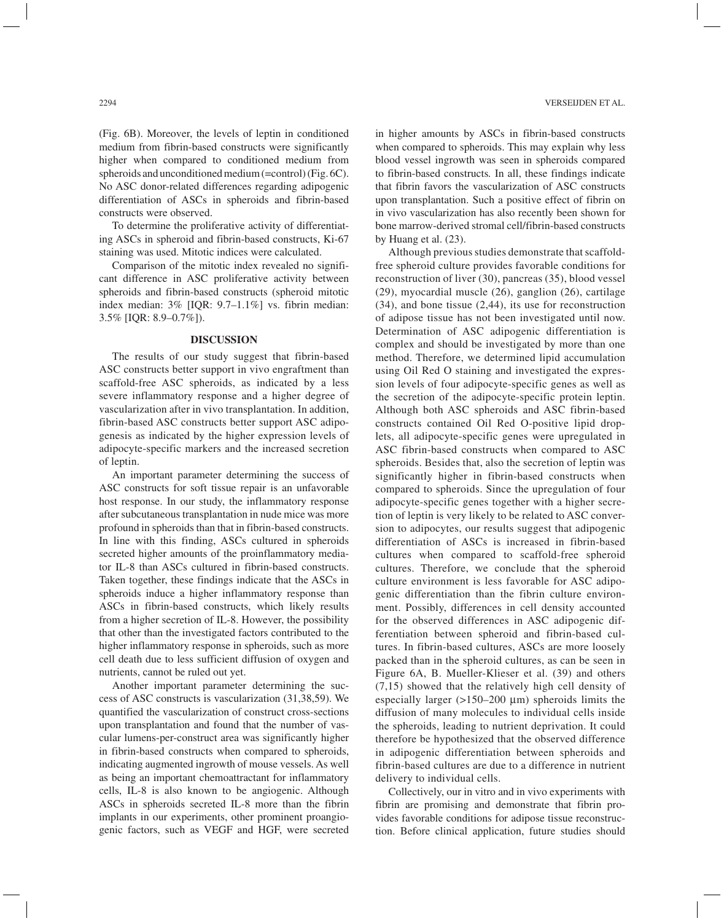(Fig. 6B). Moreover, the levels of leptin in conditioned medium from fibrin-based constructs were significantly higher when compared to conditioned medium from spheroids and unconditioned medium (=control) (Fig. 6C). No ASC donor-related differences regarding adipogenic differentiation of ASCs in spheroids and fibrin-based constructs were observed.

To determine the proliferative activity of differentiating ASCs in spheroid and fibrin-based constructs, Ki-67 staining was used. Mitotic indices were calculated.

Comparison of the mitotic index revealed no significant difference in ASC proliferative activity between spheroids and fibrin-based constructs (spheroid mitotic index median: 3% [IQR: 9.7–1.1%] vs. fibrin median: 3.5% [IQR: 8.9–0.7%]).

# **DISCUSSION**

The results of our study suggest that fibrin-based ASC constructs better support in vivo engraftment than scaffold-free ASC spheroids, as indicated by a less severe inflammatory response and a higher degree of vascularization after in vivo transplantation. In addition, fibrin-based ASC constructs better support ASC adipogenesis as indicated by the higher expression levels of adipocyte-specific markers and the increased secretion of leptin.

An important parameter determining the success of ASC constructs for soft tissue repair is an unfavorable host response. In our study, the inflammatory response after subcutaneous transplantation in nude mice was more profound in spheroids than that in fibrin-based constructs. In line with this finding, ASCs cultured in spheroids secreted higher amounts of the proinflammatory mediator IL-8 than ASCs cultured in fibrin-based constructs. Taken together, these findings indicate that the ASCs in spheroids induce a higher inflammatory response than ASCs in fibrin-based constructs, which likely results from a higher secretion of IL-8. However, the possibility that other than the investigated factors contributed to the higher inflammatory response in spheroids, such as more cell death due to less sufficient diffusion of oxygen and nutrients, cannot be ruled out yet.

Another important parameter determining the success of ASC constructs is vascularization (31,38,59). We quantified the vascularization of construct cross-sections upon transplantation and found that the number of vascular lumens-per-construct area was significantly higher in fibrin-based constructs when compared to spheroids, indicating augmented ingrowth of mouse vessels. As well as being an important chemoattractant for inflammatory cells, IL-8 is also known to be angiogenic. Although ASCs in spheroids secreted IL-8 more than the fibrin implants in our experiments, other prominent proangiogenic factors, such as VEGF and HGF, were secreted in higher amounts by ASCs in fibrin-based constructs when compared to spheroids. This may explain why less blood vessel ingrowth was seen in spheroids compared to fibrin-based constructs*.* In all, these findings indicate that fibrin favors the vascularization of ASC constructs upon transplantation. Such a positive effect of fibrin on in vivo vascularization has also recently been shown for bone marrow-derived stromal cell/fibrin-based constructs by Huang et al. (23).

Although previous studies demonstrate that scaffoldfree spheroid culture provides favorable conditions for reconstruction of liver (30), pancreas (35), blood vessel (29), myocardial muscle (26), ganglion (26), cartilage (34), and bone tissue (2,44), its use for reconstruction of adipose tissue has not been investigated until now. Determination of ASC adipogenic differentiation is complex and should be investigated by more than one method. Therefore, we determined lipid accumulation using Oil Red O staining and investigated the expression levels of four adipocyte-specific genes as well as the secretion of the adipocyte-specific protein leptin. Although both ASC spheroids and ASC fibrin-based constructs contained Oil Red O-positive lipid droplets, all adipocyte-specific genes were upregulated in ASC fibrin-based constructs when compared to ASC spheroids. Besides that, also the secretion of leptin was significantly higher in fibrin-based constructs when compared to spheroids. Since the upregulation of four adipocyte-specific genes together with a higher secretion of leptin is very likely to be related to ASC conversion to adipocytes, our results suggest that adipogenic differentiation of ASCs is increased in fibrin-based cultures when compared to scaffold-free spheroid cultures. Therefore, we conclude that the spheroid culture environment is less favorable for ASC adipogenic differentiation than the fibrin culture environment. Possibly, differences in cell density accounted for the observed differences in ASC adipogenic differentiation between spheroid and fibrin-based cultures. In fibrin-based cultures, ASCs are more loosely packed than in the spheroid cultures, as can be seen in Figure 6A, B. Mueller-Klieser et al. (39) and others (7,15) showed that the relatively high cell density of especially larger  $(>150-200 \mu m)$  spheroids limits the diffusion of many molecules to individual cells inside the spheroids, leading to nutrient deprivation. It could therefore be hypothesized that the observed difference in adipogenic differentiation between spheroids and fibrin-based cultures are due to a difference in nutrient delivery to individual cells.

Collectively, our in vitro and in vivo experiments with fibrin are promising and demonstrate that fibrin provides favorable conditions for adipose tissue reconstruction. Before clinical application, future studies should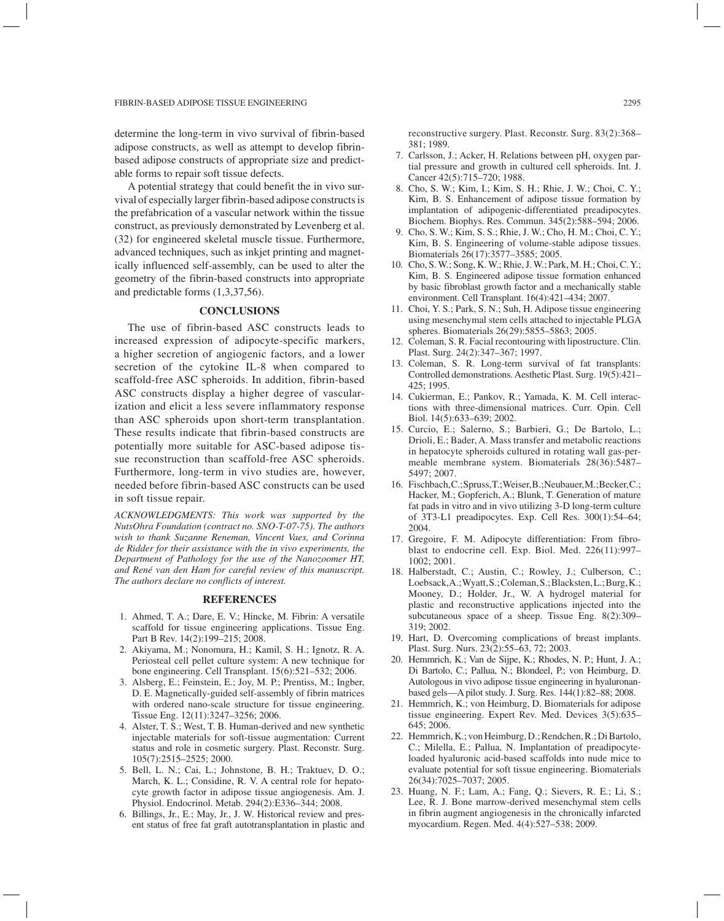determine the long-term in vivo survival of fibrin-based adipose constructs, as well as attempt to develop fibrinbased adipose constructs of appropriate size and predictable forms to repair soft tissue defects.

A potential strategy that could benefit the in vivo survival of especially larger fibrin-based adipose constructs is the prefabrication of a vascular network within the tissue construct, as previously demonstrated by Levenberg et al. (32) for engineered skeletal muscle tissue. Furthermore, advanced techniques, such as inkjet printing and magnetically influenced self-assembly, can be used to alter the geometry of the fibrin-based constructs into appropriate and predictable forms (1,3,37,56).

## **CONCLUSIONS**

The use of fibrin-based ASC constructs leads to increased expression of adipocyte-specific markers, a higher secretion of angiogenic factors, and a lower secretion of the cytokine IL-8 when compared to scaffold-free ASC spheroids. In addition, fibrin-based ASC constructs display a higher degree of vascularization and elicit a less severe inflammatory response than ASC spheroids upon short-term transplantation. These results indicate that fibrin-based constructs are potentially more suitable for ASC-based adipose tissue reconstruction than scaffold-free ASC spheroids. Furthermore, long-term in vivo studies are, however, needed before fibrin-based ASC constructs can be used in soft tissue repair.

*ACKNOWLEDGMENTS: This work was supported by the NutsOhra Foundation (contract no. SNO-T-07-75). The authors wish to thank Suzanne Reneman, Vincent Vaes, and Corinna de Ridder for their assistance with the in vivo experiments, the Department of Pathology for the use of the Nanozoomer HT, and René van den Ham for careful review of this manuscript. The authors declare no conflicts of interest.*

# **REFERENCES**

- 1. Ahmed, T. A.; Dare, E. V.; Hincke, M. Fibrin: A versatile scaffold for tissue engineering applications. Tissue Eng. Part B Rev. 14(2):199–215; 2008.
- 2. Akiyama, M.; Nonomura, H.; Kamil, S. H.; Ignotz, R. A. Periosteal cell pellet culture system: A new technique for bone engineering. Cell Transplant. 15(6):521–532; 2006.
- 3. Alsberg, E.; Feinstein, E.; Joy, M. P.; Prentiss, M.; Ingber, D. E. Magnetically-guided self-assembly of fibrin matrices with ordered nano-scale structure for tissue engineering. Tissue Eng. 12(11):3247–3256; 2006.
- 4. Alster, T. S.; West, T. B. Human-derived and new synthetic injectable materials for soft-tissue augmentation: Current status and role in cosmetic surgery. Plast. Reconstr. Surg. 105(7):2515–2525; 2000.
- 5. Bell, L. N.; Cai, L.; Johnstone, B. H.; Traktuev, D. O.; March, K. L.; Considine, R. V. A central role for hepatocyte growth factor in adipose tissue angiogenesis. Am. J. Physiol. Endocrinol. Metab. 294(2):E336–344; 2008.
- 6. Billings, Jr., E.; May, Jr., J. W. Historical review and present status of free fat graft autotransplantation in plastic and

reconstructive surgery. Plast. Reconstr. Surg. 83(2):368– 381; 1989.

- 7. Carlsson, J.; Acker, H. Relations between pH, oxygen partial pressure and growth in cultured cell spheroids. Int. J. Cancer 42(5):715–720; 1988.
- 8. Cho, S. W.; Kim, I.; Kim, S. H.; Rhie, J. W.; Choi, C. Y.; Kim, B. S. Enhancement of adipose tissue formation by implantation of adipogenic-differentiated preadipocytes. Biochem. Biophys. Res. Commun. 345(2):588–594; 2006.
- 9. Cho, S. W.; Kim, S. S.; Rhie, J. W.; Cho, H. M.; Choi, C. Y.; Kim, B. S. Engineering of volume-stable adipose tissues. Biomaterials 26(17):3577–3585; 2005.
- 10. Cho, S. W.; Song, K. W.; Rhie, J. W.; Park, M. H.; Choi, C.Y.; Kim, B. S. Engineered adipose tissue formation enhanced by basic fibroblast growth factor and a mechanically stable environment. Cell Transplant. 16(4):421–434; 2007.
- 11. Choi, Y. S.; Park, S. N.; Suh, H. Adipose tissue engineering using mesenchymal stem cells attached to injectable PLGA spheres. Biomaterials 26(29):5855–5863; 2005.
- 12. Coleman, S. R. Facial recontouring with lipostructure. Clin. Plast. Surg. 24(2):347–367; 1997.
- 13. Coleman, S. R. Long-term survival of fat transplants: Controlled demonstrations. Aesthetic Plast. Surg. 19(5):421– 425; 1995.
- 14. Cukierman, E.; Pankov, R.; Yamada, K. M. Cell interactions with three-dimensional matrices. Curr. Opin. Cell Biol. 14(5):633–639; 2002.
- 15. Curcio, E.; Salerno, S.; Barbieri, G.; De Bartolo, L.; Drioli, E.; Bader, A. Mass transfer and metabolic reactions in hepatocyte spheroids cultured in rotating wall gas-permeable membrane system. Biomaterials 28(36):5487– 5497; 2007.
- 16. Fischbach, C.; Spruss, T.; Weiser, B.; Neubauer, M.; Becker, C.; Hacker, M.; Gopferich, A.; Blunk, T. Generation of mature fat pads in vitro and in vivo utilizing 3-D long-term culture of 3T3-L1 preadipocytes. Exp. Cell Res. 300(1):54–64; 2004.
- 17. Gregoire, F. M. Adipocyte differentiation: From fibroblast to endocrine cell. Exp. Biol. Med. 226(11):997– 1002; 2001.
- 18. Halberstadt, C.; Austin, C.; Rowley, J.; Culberson, C.; Loebsack, A.; Wyatt, S.; Coleman, S.; Blacksten, L.; Burg, K.; Mooney, D.; Holder, Jr., W. A hydrogel material for plastic and reconstructive applications injected into the subcutaneous space of a sheep. Tissue Eng. 8(2):309– 319; 2002.
- 19. Hart, D. Overcoming complications of breast implants. Plast. Surg. Nurs. 23(2):55–63, 72; 2003.
- 20. Hemmrich, K.; Van de Sijpe, K.; Rhodes, N. P.; Hunt, J. A.; Di Bartolo, C.; Pallua, N.; Blondeel, P.; von Heimburg, D. Autologous in vivo adipose tissue engineering in hyaluronanbased gels—A pilot study. J. Surg. Res. 144(1):82–88; 2008.
- 21. Hemmrich, K.; von Heimburg, D. Biomaterials for adipose tissue engineering. Expert Rev. Med. Devices 3(5):635– 645; 2006.
- 22. Hemmrich, K.; von Heimburg, D.; Rendchen, R.; Di Bartolo, C.; Milella, E.; Pallua, N. Implantation of preadipocyteloaded hyaluronic acid-based scaffolds into nude mice to evaluate potential for soft tissue engineering. Biomaterials 26(34):7025–7037; 2005.
- 23. Huang, N. F.; Lam, A.; Fang, Q.; Sievers, R. E.; Li, S.; Lee, R. J. Bone marrow-derived mesenchymal stem cells in fibrin augment angiogenesis in the chronically infarcted myocardium. Regen. Med. 4(4):527–538; 2009.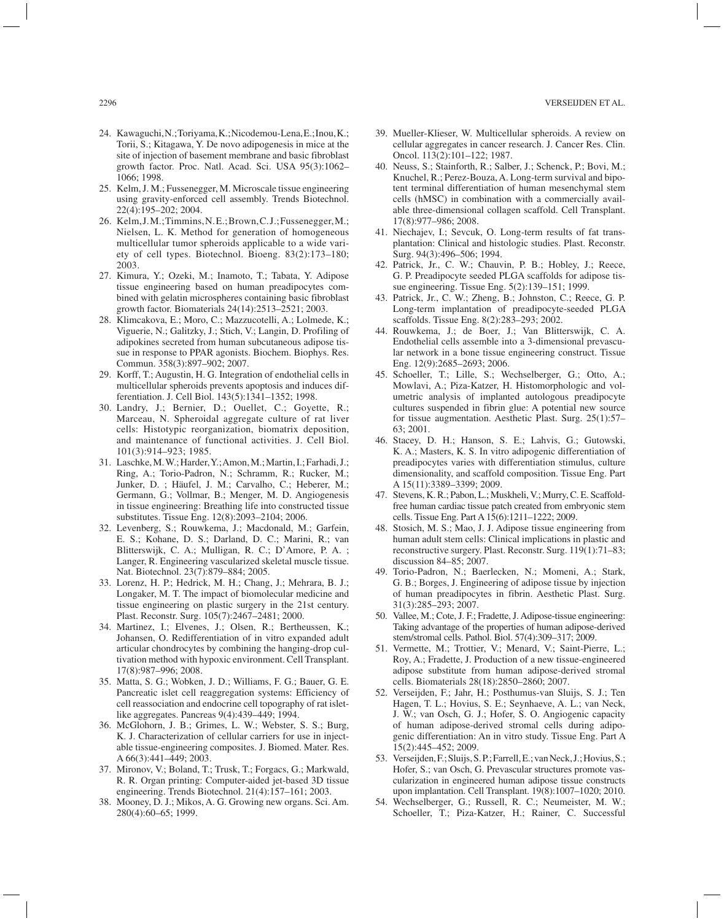- 24. Kawaguchi, N.; Toriyama, K.; Nicodemou-Lena, E.; Inou, K.; Torii, S.; Kitagawa, Y. De novo adipogenesis in mice at the site of injection of basement membrane and basic fibroblast growth factor. Proc. Natl. Acad. Sci. USA 95(3):1062– 1066; 1998.
- 25. Kelm, J. M.; Fussenegger, M. Microscale tissue engineering using gravity-enforced cell assembly. Trends Biotechnol. 22(4):195–202; 2004.
- 26. Kelm, J. M.; Timmins, N. E.; Brown, C. J.; Fussenegger, M.; Nielsen, L. K. Method for generation of homogeneous multicellular tumor spheroids applicable to a wide variety of cell types. Biotechnol. Bioeng. 83(2):173–180; 2003.
- 27. Kimura, Y.; Ozeki, M.; Inamoto, T.; Tabata, Y. Adipose tissue engineering based on human preadipocytes combined with gelatin microspheres containing basic fibroblast growth factor. Biomaterials 24(14):2513–2521; 2003.
- 28. Klimcakova, E.; Moro, C.; Mazzucotelli, A.; Lolmede, K.; Viguerie, N.; Galitzky, J.; Stich, V.; Langin, D. Profiling of adipokines secreted from human subcutaneous adipose tissue in response to PPAR agonists. Biochem. Biophys. Res. Commun. 358(3):897–902; 2007.
- 29. Korff, T.; Augustin, H. G. Integration of endothelial cells in multicellular spheroids prevents apoptosis and induces differentiation. J. Cell Biol. 143(5):1341–1352; 1998.
- 30. Landry, J.; Bernier, D.; Ouellet, C.; Goyette, R.; Marceau, N. Spheroidal aggregate culture of rat liver cells: Histotypic reorganization, biomatrix deposition, and maintenance of functional activities. J. Cell Biol. 101(3):914–923; 1985.
- 31. Laschke, M. W.; Harder, Y.; Amon, M.; Martin, I.; Farhadi, J.; Ring, A.; Torio-Padron, N.; Schramm, R.; Rucker, M.; Junker, D. ; Häufel, J. M.; Carvalho, C.; Heberer, M.; Germann, G.; Vollmar, B.; Menger, M. D. Angiogenesis in tissue engineering: Breathing life into constructed tissue substitutes. Tissue Eng. 12(8):2093–2104; 2006.
- 32. Levenberg, S.; Rouwkema, J.; Macdonald, M.; Garfein, E. S.; Kohane, D. S.; Darland, D. C.; Marini, R.; van Blitterswijk, C. A.; Mulligan, R. C.; D'Amore, P. A. ; Langer, R. Engineering vascularized skeletal muscle tissue. Nat. Biotechnol. 23(7):879–884; 2005.
- 33. Lorenz, H. P.; Hedrick, M. H.; Chang, J.; Mehrara, B. J.; Longaker, M. T. The impact of biomolecular medicine and tissue engineering on plastic surgery in the 21st century. Plast. Reconstr. Surg. 105(7):2467–2481; 2000.
- 34. Martinez, I.; Elvenes, J.; Olsen, R.; Bertheussen, K.; Johansen, O. Redifferentiation of in vitro expanded adult articular chondrocytes by combining the hanging-drop cultivation method with hypoxic environment. Cell Transplant. 17(8):987–996; 2008.
- 35. Matta, S. G.; Wobken, J. D.; Williams, F. G.; Bauer, G. E. Pancreatic islet cell reaggregation systems: Efficiency of cell reassociation and endocrine cell topography of rat isletlike aggregates. Pancreas 9(4):439–449; 1994.
- 36. McGlohorn, J. B.; Grimes, L. W.; Webster, S. S.; Burg, K. J. Characterization of cellular carriers for use in injectable tissue-engineering composites. J. Biomed. Mater. Res. A 66(3):441–449; 2003.
- 37. Mironov, V.; Boland, T.; Trusk, T.; Forgacs, G.; Markwald, R. R. Organ printing: Computer-aided jet-based 3D tissue engineering. Trends Biotechnol. 21(4):157–161; 2003.
- 38. Mooney, D. J.; Mikos, A. G. Growing new organs. Sci. Am. 280(4):60–65; 1999.
- 39. Mueller-Klieser, W. Multicellular spheroids. A review on cellular aggregates in cancer research. J. Cancer Res. Clin. Oncol. 113(2):101–122; 1987.
- 40. Neuss, S.; Stainforth, R.; Salber, J.; Schenck, P.; Bovi, M.; Knuchel, R.; Perez-Bouza, A. Long-term survival and bipotent terminal differentiation of human mesenchymal stem cells (hMSC) in combination with a commercially available three-dimensional collagen scaffold. Cell Transplant. 17(8):977–986; 2008.
- 41. Niechajev, I.; Sevcuk, O. Long-term results of fat transplantation: Clinical and histologic studies. Plast. Reconstr. Surg. 94(3):496–506; 1994.
- 42. Patrick, Jr., C. W.; Chauvin, P. B.; Hobley, J.; Reece, G. P. Preadipocyte seeded PLGA scaffolds for adipose tissue engineering. Tissue Eng. 5(2):139–151; 1999.
- 43. Patrick, Jr., C. W.; Zheng, B.; Johnston, C.; Reece, G. P. Long-term implantation of preadipocyte-seeded PLGA scaffolds. Tissue Eng. 8(2):283–293; 2002.
- 44. Rouwkema, J.; de Boer, J.; Van Blitterswijk, C. A. Endothelial cells assemble into a 3-dimensional prevascular network in a bone tissue engineering construct. Tissue Eng. 12(9):2685–2693; 2006.
- 45. Schoeller, T.; Lille, S.; Wechselberger, G.; Otto, A.; Mowlavi, A.; Piza-Katzer, H. Histomorphologic and volumetric analysis of implanted autologous preadipocyte cultures suspended in fibrin glue: A potential new source for tissue augmentation. Aesthetic Plast. Surg. 25(1):57– 63; 2001.
- 46. Stacey, D. H.; Hanson, S. E.; Lahvis, G.; Gutowski, K. A.; Masters, K. S. In vitro adipogenic differentiation of preadipocytes varies with differentiation stimulus, culture dimensionality, and scaffold composition. Tissue Eng. Part A 15(11):3389–3399; 2009.
- 47. Stevens, K. R.; Pabon, L.; Muskheli, V.; Murry, C. E. Scaffoldfree human cardiac tissue patch created from embryonic stem cells. Tissue Eng. Part A 15(6):1211–1222; 2009.
- 48. Stosich, M. S.; Mao, J. J. Adipose tissue engineering from human adult stem cells: Clinical implications in plastic and reconstructive surgery. Plast. Reconstr. Surg. 119(1):71–83; discussion 84–85; 2007.
- 49. Torio-Padron, N.; Baerlecken, N.; Momeni, A.; Stark, G. B.; Borges, J. Engineering of adipose tissue by injection of human preadipocytes in fibrin. Aesthetic Plast. Surg. 31(3):285–293; 2007.
- 50. Vallee, M.; Cote, J. F.; Fradette, J. Adipose-tissue engineering: Taking advantage of the properties of human adipose-derived stem/stromal cells. Pathol. Biol. 57(4):309–317; 2009.
- 51. Vermette, M.; Trottier, V.; Menard, V.; Saint-Pierre, L.; Roy, A.; Fradette, J. Production of a new tissue-engineered adipose substitute from human adipose-derived stromal cells. Biomaterials 28(18):2850–2860; 2007.
- 52. Verseijden, F.; Jahr, H.; Posthumus-van Sluijs, S. J.; Ten Hagen, T. L.; Hovius, S. E.; Seynhaeve, A. L.; van Neck, J. W.; van Osch, G. J.; Hofer, S. O. Angiogenic capacity of human adipose-derived stromal cells during adipogenic differentiation: An in vitro study. Tissue Eng. Part A 15(2):445–452; 2009.
- 53. Verseijden, F.; Sluijs, S. P.; Farrell, E.; van Neck, J.; Hovius, S.; Hofer, S.; van Osch, G. Prevascular structures promote vascularization in engineered human adipose tissue constructs upon implantation. Cell Transplant. 19(8):1007–1020; 2010.
- 54. Wechselberger, G.; Russell, R. C.; Neumeister, M. W.; Schoeller, T.; Piza-Katzer, H.; Rainer, C. Successful